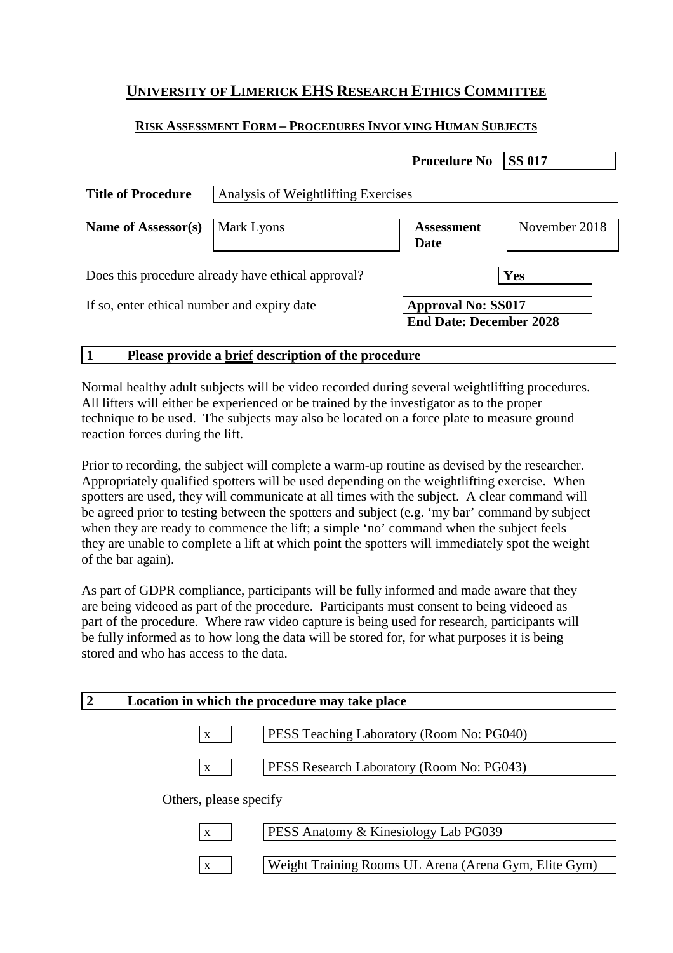# **UNIVERSITY OF LIMERICK EHS RESEARCH ETHICS COMMITTEE**

#### **RISK ASSESSMENT FORM – PROCEDURES INVOLVING HUMAN SUBJECTS**

|                                                    |                                     | <b>Procedure No</b>                                         | <b>SS 017</b> |
|----------------------------------------------------|-------------------------------------|-------------------------------------------------------------|---------------|
| <b>Title of Procedure</b>                          | Analysis of Weightlifting Exercises |                                                             |               |
| Name of Assessor(s)                                | Mark Lyons                          | <b>Assessment</b><br><b>Date</b>                            | November 2018 |
| Does this procedure already have ethical approval? |                                     |                                                             | Yes           |
| If so, enter ethical number and expiry date        |                                     | <b>Approval No: SS017</b><br><b>End Date: December 2028</b> |               |

### **1 Please provide a brief description of the procedure**

Normal healthy adult subjects will be video recorded during several weightlifting procedures. All lifters will either be experienced or be trained by the investigator as to the proper technique to be used. The subjects may also be located on a force plate to measure ground reaction forces during the lift.

Prior to recording, the subject will complete a warm-up routine as devised by the researcher. Appropriately qualified spotters will be used depending on the weightlifting exercise. When spotters are used, they will communicate at all times with the subject. A clear command will be agreed prior to testing between the spotters and subject (e.g. 'my bar' command by subject when they are ready to commence the lift; a simple 'no' command when the subject feels they are unable to complete a lift at which point the spotters will immediately spot the weight of the bar again).

As part of GDPR compliance, participants will be fully informed and made aware that they are being videoed as part of the procedure. Participants must consent to being videoed as part of the procedure. Where raw video capture is being used for research, participants will be fully informed as to how long the data will be stored for, for what purposes it is being stored and who has access to the data.

|                        | Location in which the procedure may take place        |  |
|------------------------|-------------------------------------------------------|--|
| X                      | PESS Teaching Laboratory (Room No: PG040)             |  |
| X                      | PESS Research Laboratory (Room No: PG043)             |  |
| Others, please specify |                                                       |  |
|                        | PESS Anatomy & Kinesiology Lab PG039                  |  |
| X                      | Weight Training Rooms UL Arena (Arena Gym, Elite Gym) |  |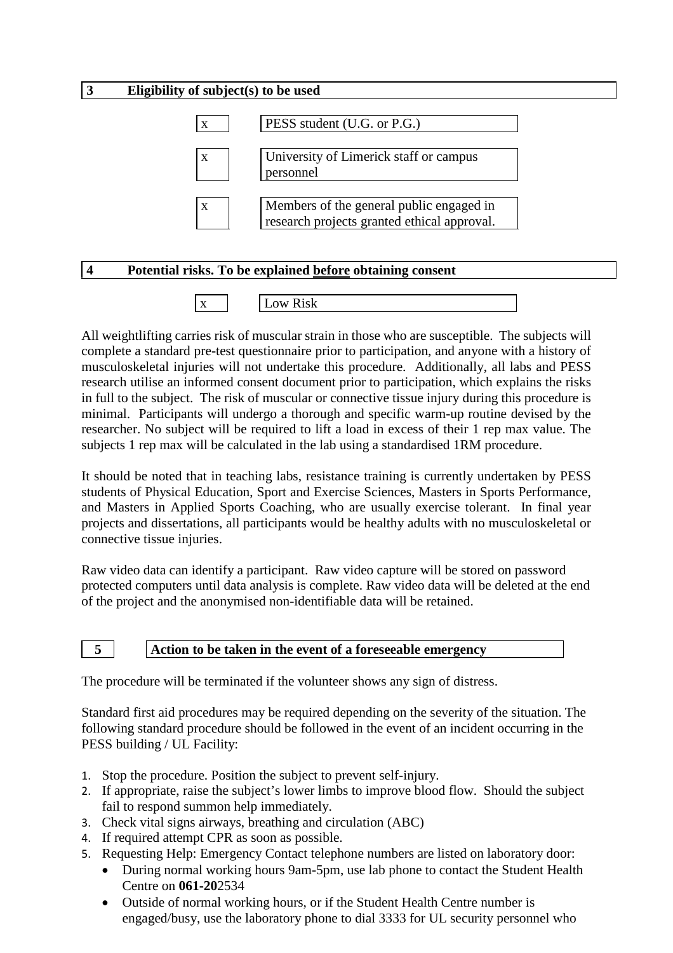

| $\mathbf{v}$<br>$\Lambda$<br><b>TERNIE</b><br>∽ |  |
|-------------------------------------------------|--|
|-------------------------------------------------|--|

All weightlifting carries risk of muscular strain in those who are susceptible. The subjects will complete a standard pre-test questionnaire prior to participation, and anyone with a history of musculoskeletal injuries will not undertake this procedure. Additionally, all labs and PESS research utilise an informed consent document prior to participation, which explains the risks in full to the subject. The risk of muscular or connective tissue injury during this procedure is minimal. Participants will undergo a thorough and specific warm-up routine devised by the researcher. No subject will be required to lift a load in excess of their 1 rep max value. The subjects 1 rep max will be calculated in the lab using a standardised 1RM procedure.

It should be noted that in teaching labs, resistance training is currently undertaken by PESS students of Physical Education, Sport and Exercise Sciences, Masters in Sports Performance, and Masters in Applied Sports Coaching, who are usually exercise tolerant. In final year projects and dissertations, all participants would be healthy adults with no musculoskeletal or connective tissue injuries.

Raw video data can identify a participant. Raw video capture will be stored on password protected computers until data analysis is complete. Raw video data will be deleted at the end of the project and the anonymised non-identifiable data will be retained.

### **5 Action to be taken in the event of a foreseeable emergency**

The procedure will be terminated if the volunteer shows any sign of distress.

Standard first aid procedures may be required depending on the severity of the situation. The following standard procedure should be followed in the event of an incident occurring in the PESS building / UL Facility:

- 1. Stop the procedure. Position the subject to prevent self-injury.
- 2. If appropriate, raise the subject's lower limbs to improve blood flow. Should the subject fail to respond summon help immediately.
- 3. Check vital signs airways, breathing and circulation (ABC)
- 4. If required attempt CPR as soon as possible.
- 5. Requesting Help: Emergency Contact telephone numbers are listed on laboratory door:
	- During normal working hours 9am-5pm, use lab phone to contact the Student Health Centre on **061-20**2534
	- Outside of normal working hours, or if the Student Health Centre number is engaged/busy, use the laboratory phone to dial 3333 for UL security personnel who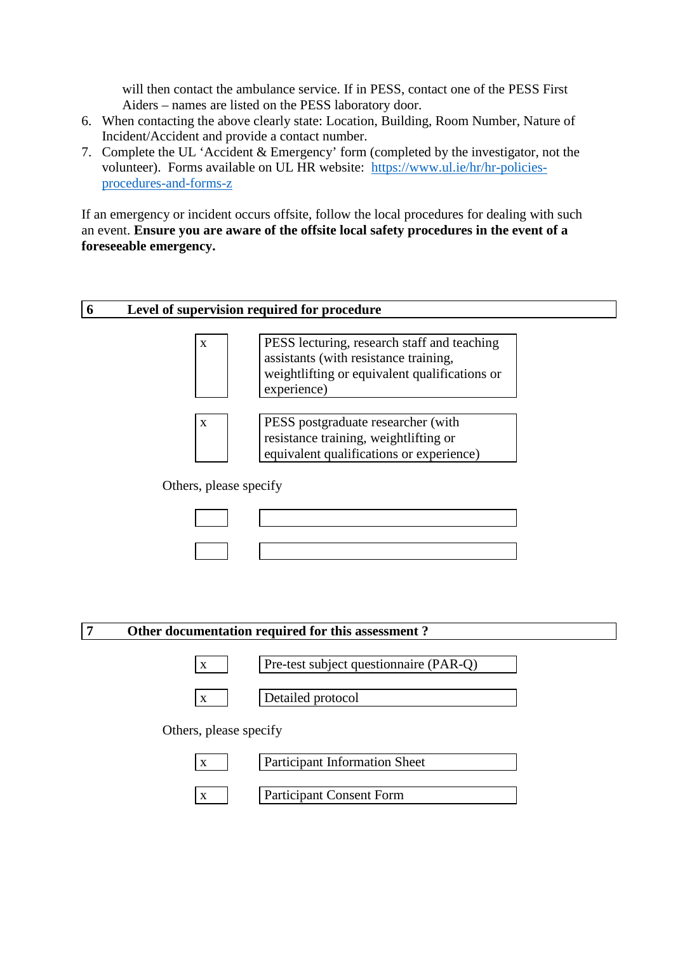will then contact the ambulance service. If in PESS, contact one of the PESS First Aiders – names are listed on the PESS laboratory door.

- 6. When contacting the above clearly state: Location, Building, Room Number, Nature of Incident/Accident and provide a contact number.
- 7. Complete the UL 'Accident & Emergency' form (completed by the investigator, not the volunteer). Forms available on UL HR website: [https://www.ul.ie/hr/hr-policies](https://www.ul.ie/hr/hr-policies-procedures-and-forms-z)[procedures-and-forms-z](https://www.ul.ie/hr/hr-policies-procedures-and-forms-z)

If an emergency or incident occurs offsite, follow the local procedures for dealing with such an event. **Ensure you are aware of the offsite local safety procedures in the event of a foreseeable emergency.** 

# **6 Level of supervision required for procedure** x PESS lecturing, research staff and teaching assistants (with resistance training, weightlifting or equivalent qualifications or experience) x | **PESS** postgraduate researcher (with resistance training, weightlifting or equivalent qualifications or experience)

Others, please specify

| and the first part of                 |                                                       |                                                                                                                 |  |
|---------------------------------------|-------------------------------------------------------|-----------------------------------------------------------------------------------------------------------------|--|
|                                       | $\overline{\phantom{a}}$ and $\overline{\phantom{a}}$ | the contract of the contract of the contract of the contract of the contract of the contract of the contract of |  |
|                                       |                                                       |                                                                                                                 |  |
|                                       |                                                       |                                                                                                                 |  |
| <u> a shekara ta 1999 a shekara t</u> |                                                       |                                                                                                                 |  |
|                                       |                                                       |                                                                                                                 |  |
|                                       |                                                       |                                                                                                                 |  |

#### **7 Other documentation required for this assessment ?**



x | Pre-test subject questionnaire (PAR-Q)



Others, please specify